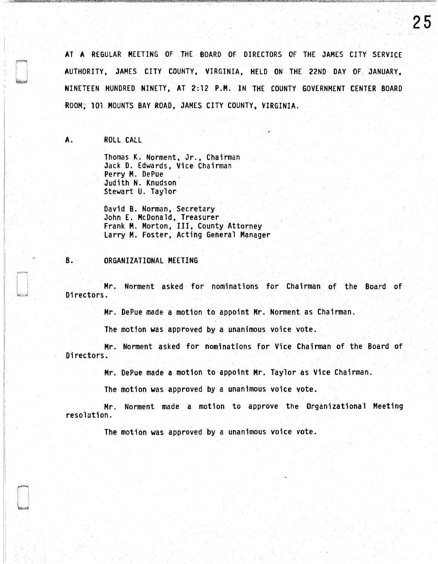AT **A** REGULAR MEETING OF THE BOARD OF DIRECTORS OF THE JAMES CITY SERVICE AUTHORITY, JAMES CITY COUNTY, VIRGINIA, HELD ON THE 22ND DAY OF JANUARY, NINETEEN HUNDRED NINETY, AT 2:12 P.H. IN THE COUNTY GOVERNMENT CENTER BOARD ROOM, 101 MOUNTS BAY ROAD, JAMES CITY COUNTY, VIRGINIA.

**A.** ROLL CALL

Thomas K. Norment, Jr., Chairman Jack D. Edwards, Vice Chairman Perry M. DePue Judith N. Knudson Stewart U. Taylor

David B. Norman, Secretary John E. McDonald, Treasurer Frank **M.** Morton, Ill, County Attorney Larry M. Foster, Acting General Manager

#### B. ORGANIZATIONAL MEETING

Mr. Norment asked for nominations for Chairman of the Board of Directors.

Mr. DePue made a motion to appoint Mr. Norment as Chairman.

The motion was approved by a unanimous voice vote.

Mr. Norment asked for nominations for Vice Chairman of the Board of Directors.

Mr. DePue made a motion to appoint Mr. Taylor as Vice Chairman.

The motion was approved by a unanimous voice vote.

Mr. Norment made a motion to approve the Organizational Meeting resolution.

The motion was approved by a unanimous voice vote.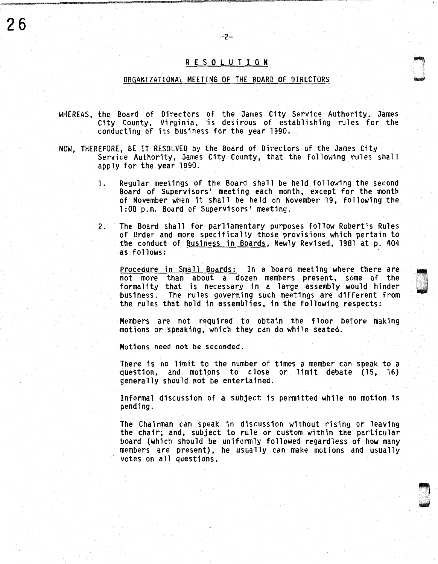## R E S 0 l U T I 0 N

 $-2-$ 

26

#### ORGANIZATIONAL MEETING OF THE BOARD OF DIRECTORS

- WHEREAS, the Board of Directors of the James City Service Authority, James City County, Virginia, is desirous of establishing rules for the conducting of its business for the year 1990.
- NOW, THEREFORE, BE IT RESOLVED by the Board of Directors of the James City Service Authority, James City County, that the following rules shall apply for the year 1990.
	- 1. Regular meetings of the Board shall be held following the second Board of Supervisors• meeting each month, except for the month· of November when it shall be held on November 19, following the 1:00 p.m. Board of Supervisors' meeting.
	- 2. The Board shall for parliamentary purposes follow Robert's Rules of Order and more specifically those provisions which pertain to the conduct of Business in Boards, Newly Revised, 1981 at p. 404 as follows:

Procedure in Small Boards: In a board meeting where there are not more than about a dozen members present, some of the formality that is necessary in a large assembly would hinder business. The rules governing such meetings are different from the rules that hold in assemblies, in the following respects:

Members are not required to obtain the floor before making motions or speaking, which they can do while seated.

Motions need not be seconded.

There is no limit to the number of times a member can speak to a question, and motions to close or limit debate (15, 16) generally should not be entertained.

Informal discussion of a subject is permitted while no motion is pending.

The Chairman can speak in discussion without rising or leaving the chair; and, subject to rule or custom within the particular board (which should be uniformly followed regardless of how many members are present), he usually can make motions and usually votes on all questions.

> $\sim$ u<br>under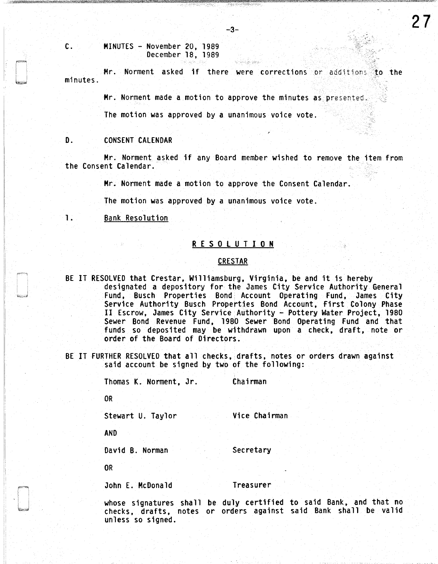MINUTES - November 20, 1989 December 18, 1989

minutes. Mr. Norment asked if there were corrections or additions. To the

Mr. Norment made a motion to approve the minutes as presented.

The motion was approved by a unanimous voice vote.

D. CONSENT CALENDAR

c.

Mr. Norment asked if any Board member wished to remove the item from the Consent Calendar.

Mr. Norment made a motion to approve the Consent Calendar.

The motion was approved by a unanimous voice vote.

1. Bank Resolution

# R E S 0 l U T I 0 N

### **CRESTAR**

- BE IT RESOLVED that Crestar, Williamsburg, Virginia, be and it is hereby designated a depository for the James City Service Authority General Fund, Busch Properties Bond Account Operating Fund, James City Service Authority Busch Properties Bond Account, First Colony Phase II Escrow, James City Service Authority - Pottery Water Project, 1980 Sewer Bond Revenue Fund, 1980 Sewer Bond Operating Fund and that funds so deposited may be withdrawn upon a check, draft, note or order of the Board of Directors.
- BE IT FURTHER RESOLVED that all checks, drafts, notes or orders drawn against said account be signed by two of the following:

Thomas K. Norment, Jr. Chairman OR Stewart U. Taylor Vice Chairman

AND

David B. Norman Secretary

OR

i,

John E. McDonald Treasurer

whose signatures shall be duly certified to said Bank, and that no checks, drafts, notes or orders against said Bank shall be valid unless so signed.

-3-

27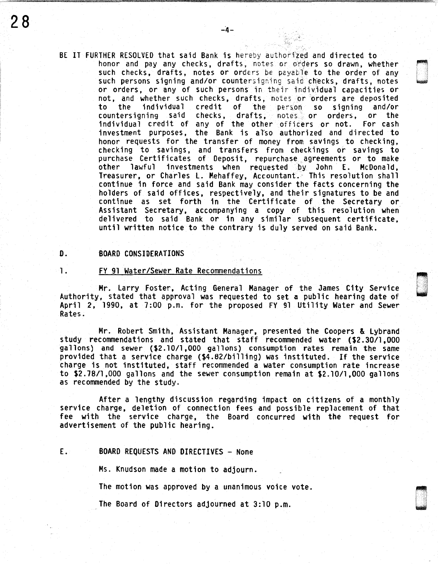BE IT FURTHER RESOLVED that said Bank is hereby authorfzed and directed to honor and pay any checks, drafts, notes or orders so drawn, whether such checks, drafts, notes or orders be payable to the order of any such persons signing and/or countersigning said checks, drafts, notes or orders, or any of such persons in their individual capacities or not, and whether such checks, drafts, notes or orders are deposited<br>to the individual credit of the person so signing and/or to the individual credit of the person so signing and/or checks, drafts, notes or orders, or the<br>any of the other officers or not. For cash individual credit of any of the other officers or not. investment purposes, the Bank is also authorized and directed to<br>honor requests for the transfer of money from savings to checking, checking to savings, and transfers from checkings or savings to purchase Certificates of Deposit, repurchase agreements or to make<br>other lawful investments when requested by John E. McDonald, other lawful investments when requested by John E. McDonald, Treasurer, or Charles L. Mehaffey, Accountant. This resolution shall continue in force and said Bank may consider the facts concerning the holders of said offices, respectively, and their signatures to be and continue as set forth in the Certificate of the Secretary or Assistant Secretary, accompanying a copy of this resolution when delivered to said Bank or in any similar subsequent certificate, until written notice to the contrary is duly served on said Bank.

#### D. BOARD CONSIDERATIONS

1. FY 91 Water/Sewer Rate Recommendations

Mr. Larry Foster, Acting General Manager of the James City Service Authority, stated that approval was requested to set a public hearing date of April 2, 1990, at 7:00 p.m. for the proposed FY 91 Utility Water and Sewer Rates.

Mr. Robert Smith, Assistant Manager, presented the Coopers & Lybrand study recommendations and stated that staff recommended water (\$2.30/1,000 gallons) and sewer (\$2.10/1,000 gallons) consumption rates remain the same provided that a service charge (\$4.82/billing) was instituted. If the service charge is not instituted, staff recommended a water consumption rate increase to \$2.78/1,000 gallons and the sewer consumption remain at \$2.10/1,000 gallons as recommended by the study.

After a lengthy discussion regarding impact on citizens of a monthly service charge, deletion of connection fees and possible replacement of that fee with the service charge, the Board concurred with the request for advertisement of the public hearing.

# E. BOARD REQUESTS AND DIRECTIVES - None

Ms. Knudson made a motion to adjourn.

The motion was approved by a unanimous voice vote.

The Board of Directors adjourned at 3:10 p.m.